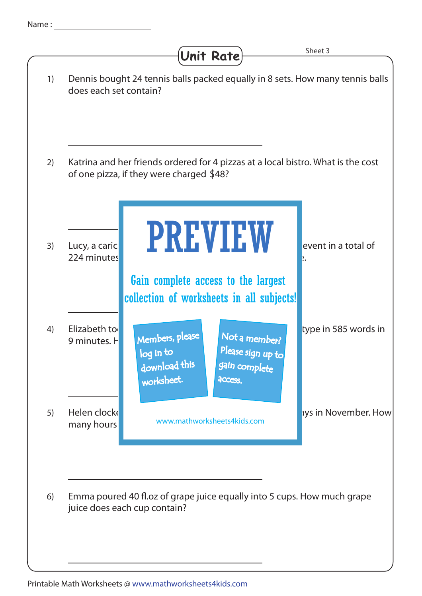